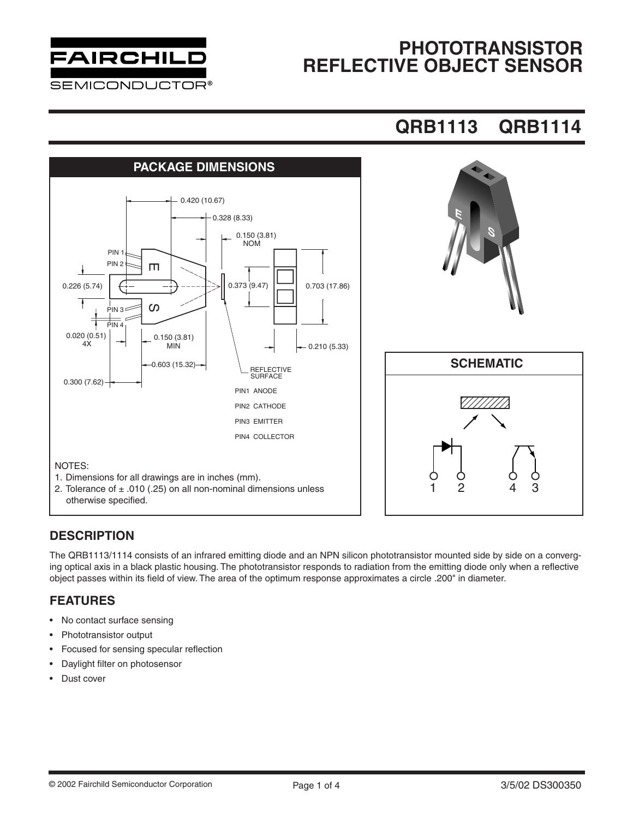

### **PHOTOTRANSISTOR REFLECTIVE OBJECT SENSOR**

## **QRB1113 QRB1114**



#### **DESCRIPTION**

The QRB1113/1114 consists of an infrared emitting diode and an NPN silicon phototransistor mounted side by side on a converging optical axis in a black plastic housing. The phototransistor responds to radiation from the emitting diode only when a reflective object passes within its field of view. The area of the optimum response approximates a circle .200" in diameter.

#### **FEATURES**

- No contact surface sensing
- Phototransistor output
- Focused for sensing specular reflection
- Daylight filter on photosensor
- Dust cover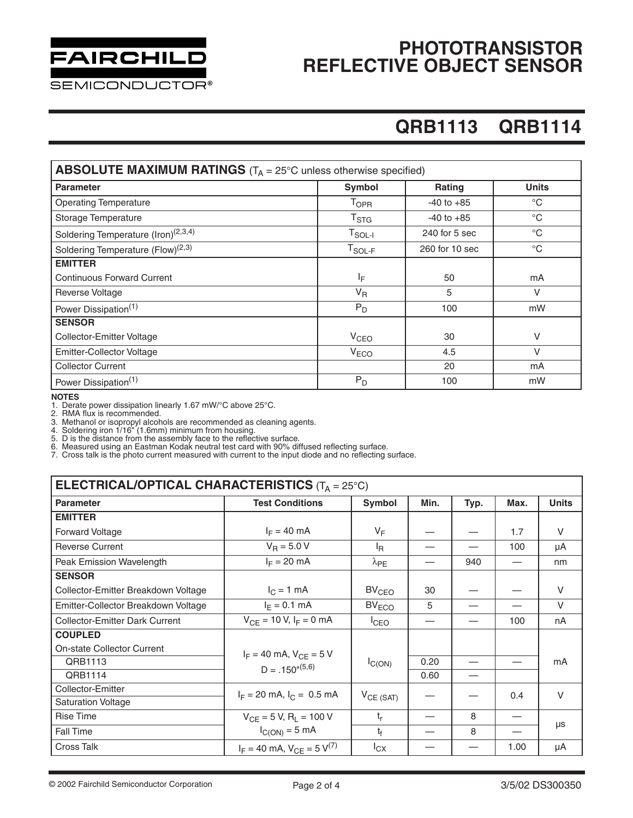# FAIRCHILD

**SEMICONDUCTOR®** 

### **PHOTOTRANSISTOR REFLECTIVE OBJECT SENSOR**

# **QRB1113 QRB1114**

| <b>ABSOLUTE MAXIMUM RATINGS</b> ( $T_A = 25^\circ$ C unless otherwise specified) |                             |                |              |  |  |  |  |
|----------------------------------------------------------------------------------|-----------------------------|----------------|--------------|--|--|--|--|
| <b>Parameter</b>                                                                 | <b>Symbol</b>               | Rating         | <b>Units</b> |  |  |  |  |
| <b>Operating Temperature</b>                                                     | $\mathsf{T}_{\mathsf{OPR}}$ | $-40$ to $+85$ | $^{\circ}C$  |  |  |  |  |
| Storage Temperature                                                              | $\mathsf{T}_{\text{STG}}$   | $-40$ to $+85$ | $^{\circ}$ C |  |  |  |  |
| Soldering Temperature (Iron) <sup>(2,3,4)</sup>                                  | $T_{SOL-I}$                 | 240 for 5 sec  | $^{\circ}$ C |  |  |  |  |
| Soldering Temperature $(Flow)^{(2,3)}$                                           | $T_{\sf SOL-F}$             | 260 for 10 sec | $^{\circ}$ C |  |  |  |  |
| <b>EMITTER</b>                                                                   |                             |                |              |  |  |  |  |
| <b>Continuous Forward Current</b>                                                | ΙF                          | 50             | mA           |  |  |  |  |
| Reverse Voltage                                                                  | $V_R$                       | 5              | V            |  |  |  |  |
| Power Dissipation <sup>(1)</sup>                                                 | $P_D$                       | 100            | mW           |  |  |  |  |
| <b>SENSOR</b>                                                                    |                             |                |              |  |  |  |  |
| Collector-Emitter Voltage                                                        | V <sub>CEO</sub>            | 30             | V            |  |  |  |  |
| Emitter-Collector Voltage                                                        | V <sub>ECO</sub>            | 4.5            | $\vee$       |  |  |  |  |
| <b>Collector Current</b>                                                         |                             | 20             | mA           |  |  |  |  |
| Power Dissipation <sup>(1)</sup>                                                 | $P_D$                       | 100            | mW           |  |  |  |  |

**NOTES**

1. Derate power dissipation linearly 1.67 mW/°C above 25°C.

2. RMA flux is recommended.

3. Methanol or isopropyl alcohols are recommended as cleaning agents.

4. Soldering iron 1/16" (1.6mm) minimum from housing.

5. D is the distance from the assembly face to the reflective surface. 6. Measured using an Eastman Kodak neutral test card with 90% diffused reflecting surface.

7. Cross talk is the photo current measured with current to the input diode and no reflecting surface.

| <b>ELECTRICAL/OPTICAL CHARACTERISTICS</b> ( $T_A = 25^{\circ}$ C) |                                                      |                   |      |      |      |              |  |  |
|-------------------------------------------------------------------|------------------------------------------------------|-------------------|------|------|------|--------------|--|--|
| <b>Parameter</b>                                                  | <b>Test Conditions</b>                               | <b>Symbol</b>     | Min. | Typ. | Max. | <b>Units</b> |  |  |
| <b>EMITTER</b>                                                    |                                                      |                   |      |      |      |              |  |  |
| <b>Forward Voltage</b>                                            | $I_F = 40 \text{ mA}$                                | $V_F$             |      |      | 1.7  | $\vee$       |  |  |
| <b>Reverse Current</b>                                            | $V_B = 5.0 V$                                        | l <sub>R</sub>    |      |      | 100  | μA           |  |  |
| Peak Emission Wavelength                                          | $I_F = 20$ mA                                        | $\lambda_{PE}$    |      | 940  |      | nm           |  |  |
| <b>SENSOR</b>                                                     |                                                      |                   |      |      |      |              |  |  |
| Collector-Emitter Breakdown Voltage                               | $I_C = 1$ mA                                         | BV <sub>CEO</sub> | 30   |      |      | V            |  |  |
| Emitter-Collector Breakdown Voltage                               | $I_F = 0.1$ mA                                       | BV <sub>ECO</sub> | 5    | —    |      | V            |  |  |
| <b>Collector-Emitter Dark Current</b>                             | $V_{CF}$ = 10 V, $I_F$ = 0 mA                        | <sup>I</sup> CEO  | —    |      | 100  | nA           |  |  |
| <b>COUPLED</b>                                                    |                                                      |                   |      |      |      |              |  |  |
| <b>On-state Collector Current</b>                                 | $I_F = 40$ mA, $V_{CF} = 5$ V<br>$D = .150^{n(5,6)}$ | $I_{C(ON)}$       |      |      |      |              |  |  |
| QRB1113                                                           |                                                      |                   | 0.20 |      |      | mA           |  |  |
| QRB1114                                                           |                                                      |                   | 0.60 | —    |      |              |  |  |
| Collector-Emitter                                                 | $I_F = 20$ mA, $I_C = 0.5$ mA                        | $V_{CE (SAT)}$    |      |      | 0.4  | V            |  |  |
| <b>Saturation Voltage</b>                                         |                                                      |                   |      |      |      |              |  |  |
| <b>Rise Time</b>                                                  | $V_{CF}$ = 5 V, R <sub>1</sub> = 100 V               | $t_r$             |      | 8    |      | μs           |  |  |
| Fall Time                                                         | $I_{C(ON)} = 5$ mA                                   | $t_f$             |      | 8    |      |              |  |  |
| Cross Talk                                                        | $I_F = 40$ mA, $V_{CE} = 5$ V <sup>(7)</sup>         | $I_{\text{CX}}$   |      |      | 1.00 | μA           |  |  |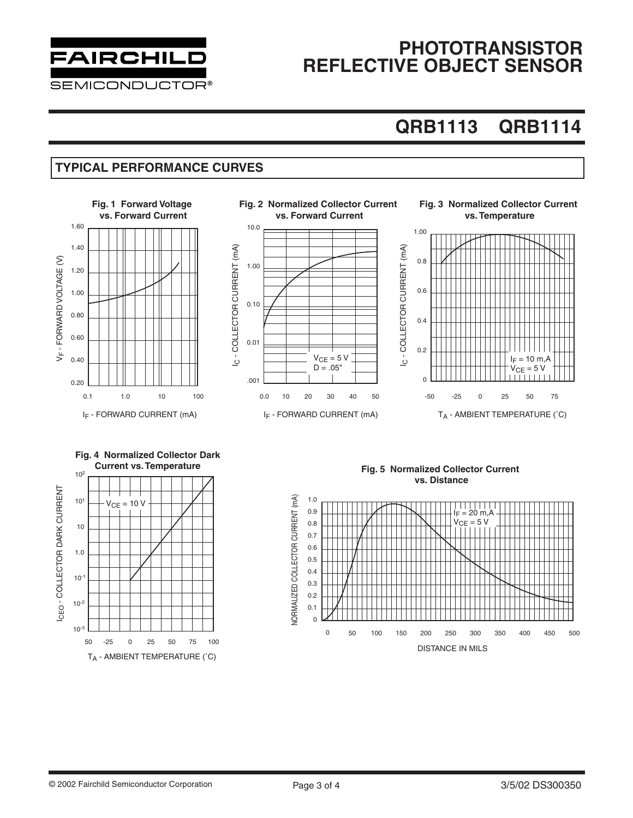

### **PHOTOTRANSISTOR REFLECTIVE OBJECT SENSOR**

# **QRB1113 QRB1114**

#### **TYPICAL PERFORMANCE CURVES**



DISTANCE IN MILS

T<sub>A</sub> - AMBIENT TEMPERATURE (°C)